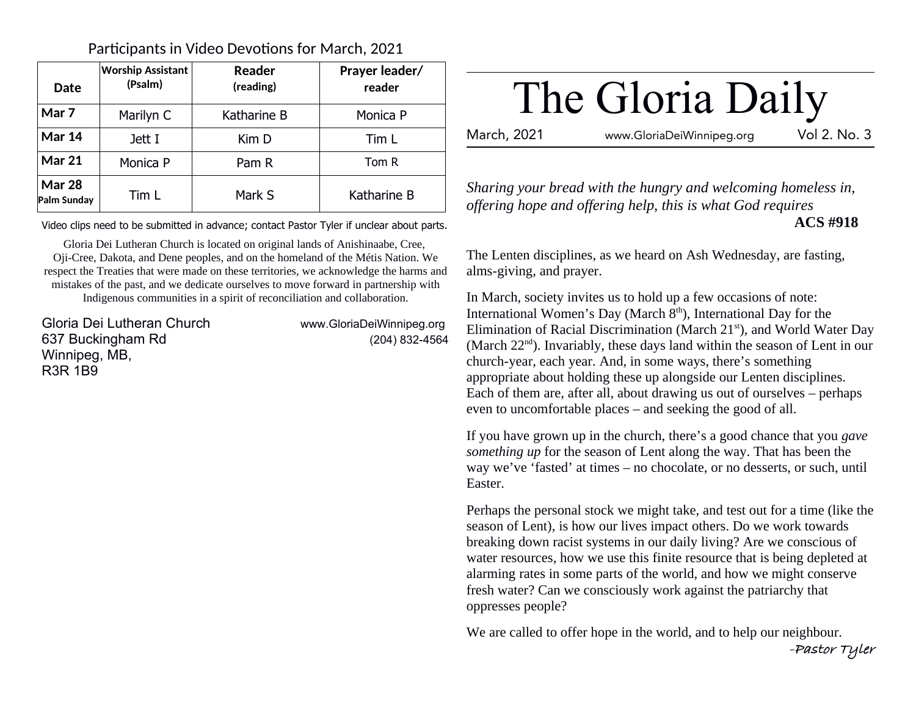| Date                         | <b>Worship Assistant</b><br>(Psalm) | <b>Reader</b><br>(reading) | Prayer leader/<br>reader |
|------------------------------|-------------------------------------|----------------------------|--------------------------|
| Mar 7                        | Marilyn C                           | Katharine B                | Monica P                 |
| <b>Mar 14</b>                | Jett I                              | Kim D                      | Tim L                    |
| <b>Mar 21</b>                | Monica P                            | Pam R                      | Tom R                    |
| <b>Mar 28</b><br>Palm Sunday | Tim L                               | Mark S                     | Katharine B              |

Participants in Video Devotions for March, 2021

Video clips need to be submitted in advance; contact Pastor Tyler if unclear about parts.

Gloria Dei Lutheran Church is located on original lands of Anishinaabe, Cree, Oji-Cree, Dakota, and Dene peoples, and on the homeland of the Métis Nation. We respect the Treaties that were made on these territories, we acknowledge the harms and mistakes of the past, and we dedicate ourselves to move forward in partnership with Indigenous communities in a spirit of reconciliation and collaboration.

Gloria Dei Lutheran Church www.GloriaDeiWinnipeg.org 637 Buckingham Rd (204) 832-4564 Winnipeg, MB, R3R 1B9

# The Gloria Daily

March, 2021 www.GloriaDeiWinnipeg.org Vol 2. No. 3

*Sharing your bread with the hungry and welcoming homeless in, offering hope and offering help, this is what God requires* **ACS #918**

The Lenten disciplines, as we heard on Ash Wednesday, are fasting, alms-giving, and prayer.

In March, society invites us to hold up a few occasions of note: International Women's Day (March  $8<sup>th</sup>$ ), International Day for the Elimination of Racial Discrimination (March 21<sup>st</sup>), and World Water Day (March 22<sup>nd</sup>). Invariably, these days land within the season of Lent in our church-year, each year. And, in some ways, there's something appropriate about holding these up alongside our Lenten disciplines. Each of them are, after all, about drawing us out of ourselves – perhaps even to uncomfortable places – and seeking the good of all.

If you have grown up in the church, there's a good chance that you *gave something up* for the season of Lent along the way. That has been the way we've 'fasted' at times – no chocolate, or no desserts, or such, until Easter.

Perhaps the personal stock we might take, and test out for a time (like the season of Lent), is how our lives impact others. Do we work towards breaking down racist systems in our daily living? Are we conscious of water resources, how we use this finite resource that is being depleted at alarming rates in some parts of the world, and how we might conserve fresh water? Can we consciously work against the patriarchy that oppresses people?

We are called to offer hope in the world, and to help our neighbour. **-Pastor Tyler**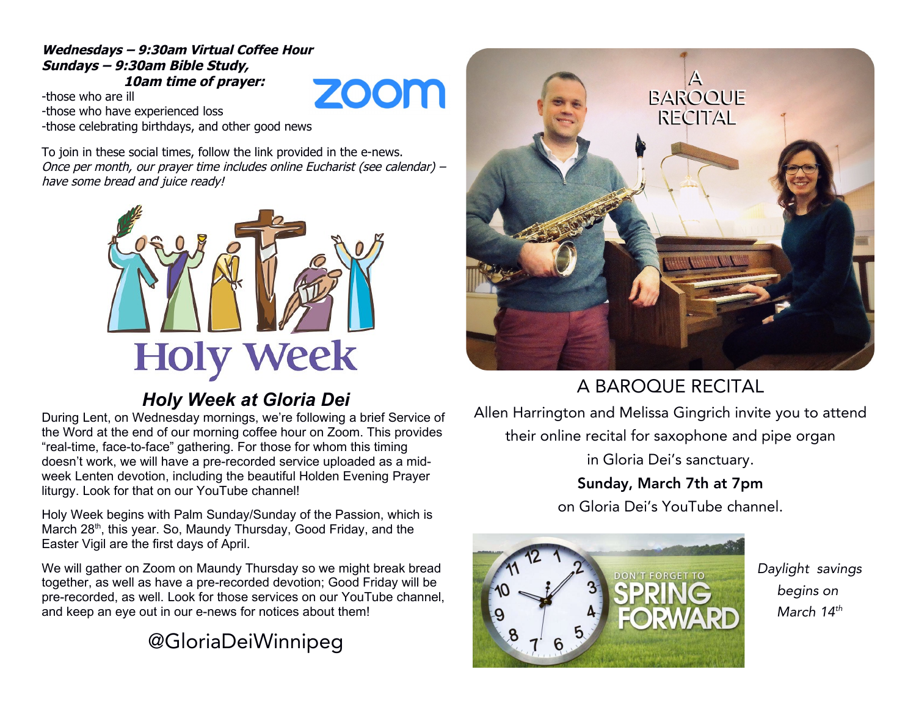#### **Wednesdays – 9:30am Virtual Coffee Hour Sundays – 9:30am Bible Study, 10am time of prayer:**

**ZOOM** 

-those who are ill -those who have experienced loss -those celebrating birthdays, and other good news

To join in these social times, follow the link provided in the e-news. Once per month, our prayer time includes online Eucharist (see calendar) – have some bread and juice ready!



### *Holy Week at Gloria Dei*

During Lent, on Wednesday mornings, we're following a brief Service of the Word at the end of our morning coffee hour on Zoom. This provides "real-time, face-to-face" gathering. For those for whom this timing doesn't work, we will have a pre-recorded service uploaded as a midweek Lenten devotion, including the beautiful Holden Evening Prayer liturgy. Look for that on our YouTube channel!

Holy Week begins with Palm Sunday/Sunday of the Passion, which is March 28<sup>th</sup>, this year. So, Maundy Thursday, Good Friday, and the Easter Vigil are the first days of April.

We will gather on Zoom on Maundy Thursday so we might break bread together, as well as have a pre-recorded devotion; Good Friday will be pre-recorded, as well. Look for those services on our YouTube channel, and keep an eye out in our e-news for notices about them!

## @GloriaDeiWinnipeg



### A BAROQUE RECITAL

Allen Harrington and Melissa Gingrich invite you to attend their online recital for saxophone and pipe organ

in Gloria Dei's sanctuary.

### Sunday, March 7th at 7pm

on Gloria Dei's YouTube channel.



Daylight savings begins on March 14<sup>th</sup>